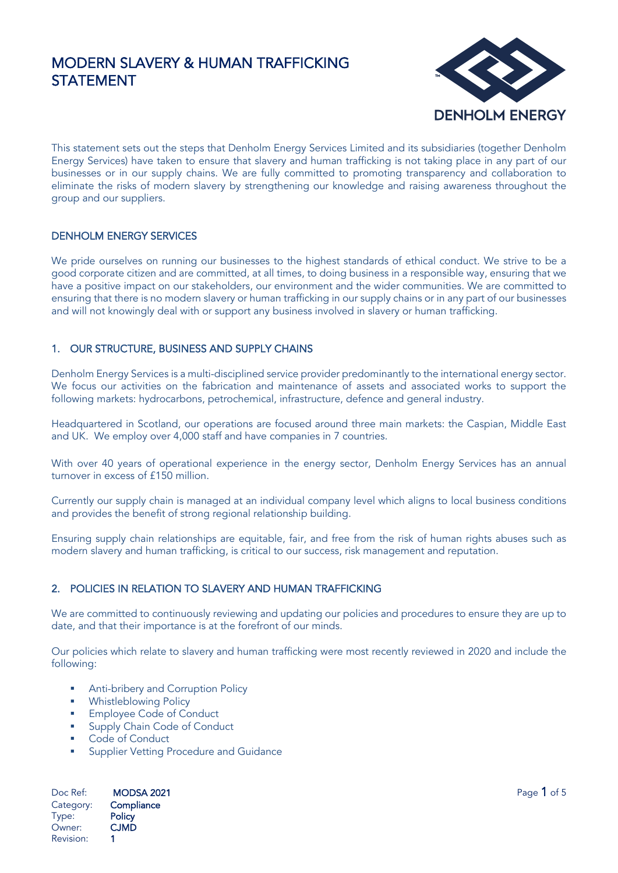

This statement sets out the steps that Denholm Energy Services Limited and its subsidiaries (together Denholm Energy Services) have taken to ensure that slavery and human trafficking is not taking place in any part of our businesses or in our supply chains. We are fully committed to promoting transparency and collaboration to eliminate the risks of modern slavery by strengthening our knowledge and raising awareness throughout the group and our suppliers.

## DENHOLM ENERGY SERVICES

We pride ourselves on running our businesses to the highest standards of ethical conduct. We strive to be a good corporate citizen and are committed, at all times, to doing business in a responsible way, ensuring that we have a positive impact on our stakeholders, our environment and the wider communities. We are committed to ensuring that there is no modern slavery or human trafficking in our supply chains or in any part of our businesses and will not knowingly deal with or support any business involved in slavery or human trafficking.

## 1. OUR STRUCTURE, BUSINESS AND SUPPLY CHAINS

Denholm Energy Services is a multi-disciplined service provider predominantly to the international energy sector. We focus our activities on the fabrication and maintenance of assets and associated works to support the following markets: hydrocarbons, petrochemical, infrastructure, defence and general industry.

Headquartered in Scotland, our operations are focused around three main markets: the Caspian, Middle East and UK. We employ over 4,000 staff and have companies in 7 countries.

With over 40 years of operational experience in the energy sector, Denholm Energy Services has an annual turnover in excess of £150 million.

Currently our supply chain is managed at an individual company level which aligns to local business conditions and provides the benefit of strong regional relationship building.

Ensuring supply chain relationships are equitable, fair, and free from the risk of human rights abuses such as modern slavery and human trafficking, is critical to our success, risk management and reputation.

## 2. POLICIES IN RELATION TO SLAVERY AND HUMAN TRAFFICKING

We are committed to continuously reviewing and updating our policies and procedures to ensure they are up to date, and that their importance is at the forefront of our minds.

Our policies which relate to slavery and human trafficking were most recently reviewed in 2020 and include the following:

- **■** Anti-bribery and Corruption Policy
- **Whistleblowing Policy**
- **Employee Code of Conduct**
- Supply Chain Code of Conduct
- Code of Conduct
- Supplier Vetting Procedure and Guidance

Doc Ref: **MODSA 2021 Page 1 of 5** Category: Compliance Type: Policy<br>Owner: CJMD Owner: Revision: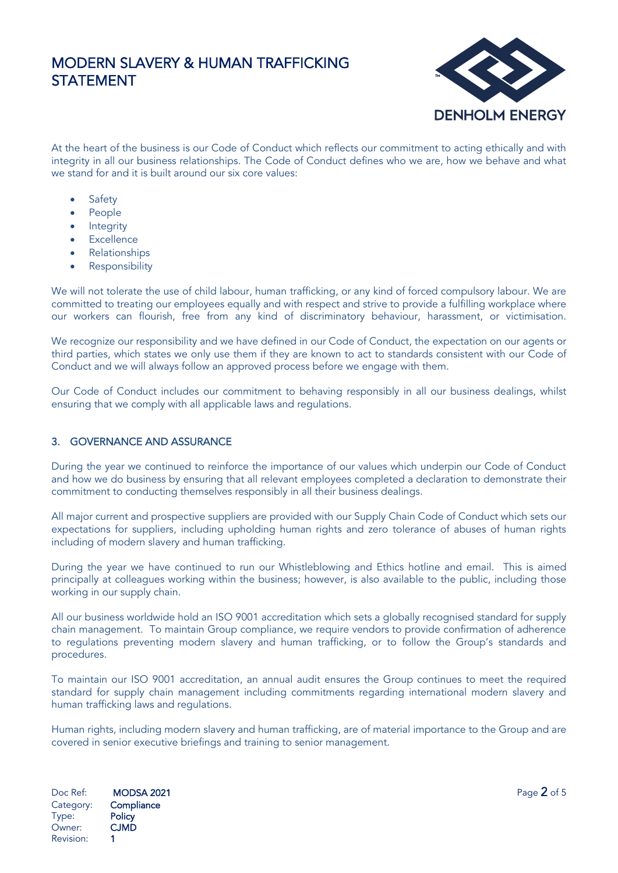

At the heart of the business is our Code of Conduct which reflects our commitment to acting ethically and with integrity in all our business relationships. The Code of Conduct defines who we are, how we behave and what we stand for and it is built around our six core values:

- **Safety**
- **People**
- **Integrity**
- **Excellence**
- Relationships
- **Responsibility**

We will not tolerate the use of child labour, human trafficking, or any kind of forced compulsory labour. We are committed to treating our employees equally and with respect and strive to provide a fulfilling workplace where our workers can flourish, free from any kind of discriminatory behaviour, harassment, or victimisation.

We recognize our responsibility and we have defined in our Code of Conduct, the expectation on our agents or third parties, which states we only use them if they are known to act to standards consistent with our Code of Conduct and we will always follow an approved process before we engage with them.

Our Code of Conduct includes our commitment to behaving responsibly in all our business dealings, whilst ensuring that we comply with all applicable laws and regulations.

## 3. GOVERNANCE AND ASSURANCE

During the year we continued to reinforce the importance of our values which underpin our Code of Conduct and how we do business by ensuring that all relevant employees completed a declaration to demonstrate their commitment to conducting themselves responsibly in all their business dealings.

All major current and prospective suppliers are provided with our Supply Chain Code of Conduct which sets our expectations for suppliers, including upholding human rights and zero tolerance of abuses of human rights including of modern slavery and human trafficking.

During the year we have continued to run our Whistleblowing and Ethics hotline and email. This is aimed principally at colleagues working within the business; however, is also available to the public, including those working in our supply chain.

All our business worldwide hold an ISO 9001 accreditation which sets a globally recognised standard for supply chain management. To maintain Group compliance, we require vendors to provide confirmation of adherence to regulations preventing modern slavery and human trafficking, or to follow the Group's standards and procedures.

To maintain our ISO 9001 accreditation, an annual audit ensures the Group continues to meet the required standard for supply chain management including commitments regarding international modern slavery and human trafficking laws and regulations.

Human rights, including modern slavery and human trafficking, are of material importance to the Group and are covered in senior executive briefings and training to senior management.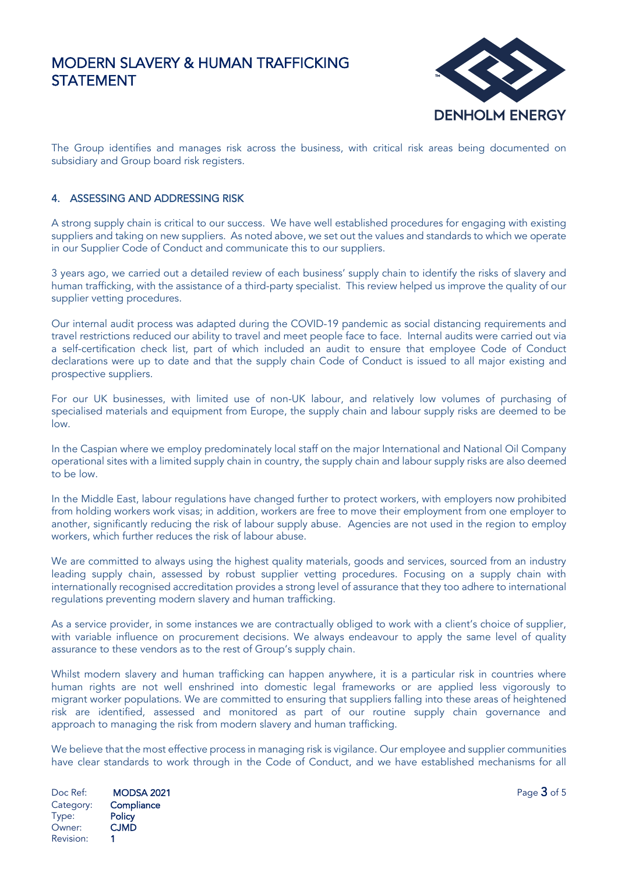

The Group identifies and manages risk across the business, with critical risk areas being documented on subsidiary and Group board risk registers.

## 4. ASSESSING AND ADDRESSING RISK

A strong supply chain is critical to our success. We have well established procedures for engaging with existing suppliers and taking on new suppliers. As noted above, we set out the values and standards to which we operate in our Supplier Code of Conduct and communicate this to our suppliers.

3 years ago, we carried out a detailed review of each business' supply chain to identify the risks of slavery and human trafficking, with the assistance of a third-party specialist. This review helped us improve the quality of our supplier vetting procedures.

Our internal audit process was adapted during the COVID-19 pandemic as social distancing requirements and travel restrictions reduced our ability to travel and meet people face to face. Internal audits were carried out via a self-certification check list, part of which included an audit to ensure that employee Code of Conduct declarations were up to date and that the supply chain Code of Conduct is issued to all major existing and prospective suppliers.

For our UK businesses, with limited use of non-UK labour, and relatively low volumes of purchasing of specialised materials and equipment from Europe, the supply chain and labour supply risks are deemed to be low.

In the Caspian where we employ predominately local staff on the major International and National Oil Company operational sites with a limited supply chain in country, the supply chain and labour supply risks are also deemed to be low.

In the Middle East, labour regulations have changed further to protect workers, with employers now prohibited from holding workers work visas; in addition, workers are free to move their employment from one employer to another, significantly reducing the risk of labour supply abuse. Agencies are not used in the region to employ workers, which further reduces the risk of labour abuse.

We are committed to always using the highest quality materials, goods and services, sourced from an industry leading supply chain, assessed by robust supplier vetting procedures. Focusing on a supply chain with internationally recognised accreditation provides a strong level of assurance that they too adhere to international regulations preventing modern slavery and human trafficking.

As a service provider, in some instances we are contractually obliged to work with a client's choice of supplier, with variable influence on procurement decisions. We always endeavour to apply the same level of quality assurance to these vendors as to the rest of Group's supply chain.

Whilst modern slavery and human trafficking can happen anywhere, it is a particular risk in countries where human rights are not well enshrined into domestic legal frameworks or are applied less vigorously to migrant worker populations. We are committed to ensuring that suppliers falling into these areas of heightened risk are identified, assessed and monitored as part of our routine supply chain governance and approach to managing the risk from modern slavery and human trafficking.

We believe that the most effective process in managing risk is vigilance. Our employee and supplier communities have clear standards to work through in the Code of Conduct, and we have established mechanisms for all

Doc Ref:  $\blacksquare$  **MODSA 2021**  $\blacksquare$ Category: Compliance Type: Policy<br>Owner: CJMD Owner: Revision: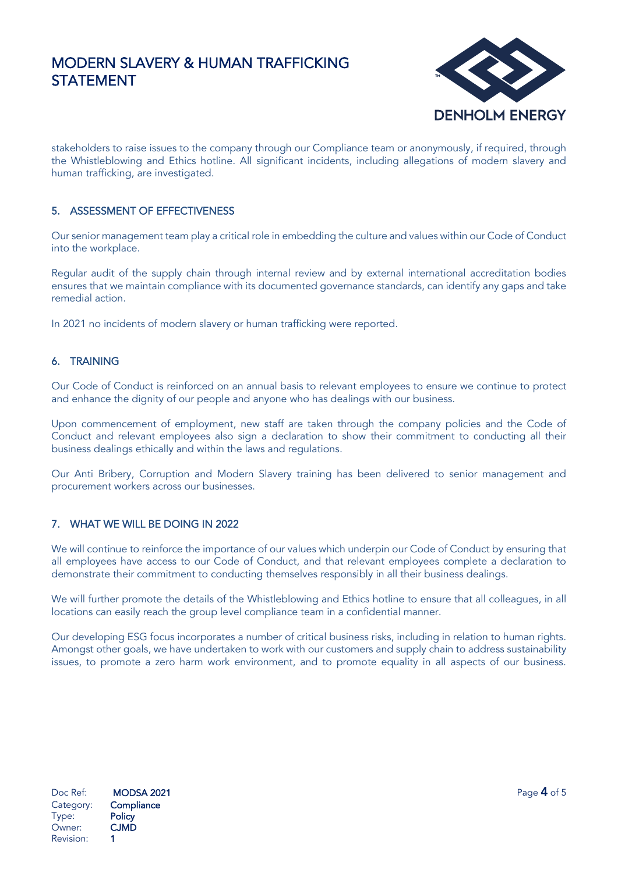

stakeholders to raise issues to the company through our Compliance team or anonymously, if required, through the Whistleblowing and Ethics hotline. All significant incidents, including allegations of modern slavery and human trafficking, are investigated.

## 5. ASSESSMENT OF EFFECTIVENESS

Our senior management team play a critical role in embedding the culture and values within our Code of Conduct into the workplace.

Regular audit of the supply chain through internal review and by external international accreditation bodies ensures that we maintain compliance with its documented governance standards, can identify any gaps and take remedial action.

In 2021 no incidents of modern slavery or human trafficking were reported.

## 6. TRAINING

Our Code of Conduct is reinforced on an annual basis to relevant employees to ensure we continue to protect and enhance the dignity of our people and anyone who has dealings with our business.

Upon commencement of employment, new staff are taken through the company policies and the Code of Conduct and relevant employees also sign a declaration to show their commitment to conducting all their business dealings ethically and within the laws and regulations.

Our Anti Bribery, Corruption and Modern Slavery training has been delivered to senior management and procurement workers across our businesses.

#### 7. WHAT WE WILL BE DOING IN 2022

We will continue to reinforce the importance of our values which underpin our Code of Conduct by ensuring that all employees have access to our Code of Conduct, and that relevant employees complete a declaration to demonstrate their commitment to conducting themselves responsibly in all their business dealings.

We will further promote the details of the Whistleblowing and Ethics hotline to ensure that all colleagues, in all locations can easily reach the group level compliance team in a confidential manner.

Our developing ESG focus incorporates a number of critical business risks, including in relation to human rights. Amongst other goals, we have undertaken to work with our customers and supply chain to address sustainability issues, to promote a zero harm work environment, and to promote equality in all aspects of our business.